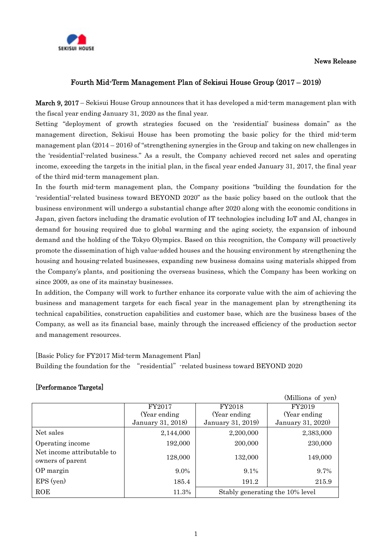

## News Release

# Fourth Mid-Term Management Plan of Sekisui House Group (2017 – 2019)

March 9, 2017 – Sekisui House Group announces that it has developed a mid-term management plan with the fiscal year ending January 31, 2020 as the final year.

Setting "deployment of growth strategies focused on the 'residential' business domain" as the management direction, Sekisui House has been promoting the basic policy for the third mid-term management plan (2014 – 2016) of "strengthening synergies in the Group and taking on new challenges in the 'residential'-related business." As a result, the Company achieved record net sales and operating income, exceeding the targets in the initial plan, in the fiscal year ended January 31, 2017, the final year of the third mid-term management plan.

In the fourth mid-term management plan, the Company positions "building the foundation for the 'residential'-related business toward BEYOND 2020" as the basic policy based on the outlook that the business environment will undergo a substantial change after 2020 along with the economic conditions in Japan, given factors including the dramatic evolution of IT technologies including IoT and AI, changes in demand for housing required due to global warming and the aging society, the expansion of inbound demand and the holding of the Tokyo Olympics. Based on this recognition, the Company will proactively promote the dissemination of high value-added houses and the housing environment by strengthening the housing and housing-related businesses, expanding new business domains using materials shipped from the Company's plants, and positioning the overseas business, which the Company has been working on since 2009, as one of its mainstay businesses.

In addition, the Company will work to further enhance its corporate value with the aim of achieving the business and management targets for each fiscal year in the management plan by strengthening its technical capabilities, construction capabilities and customer base, which are the business bases of the Company, as well as its financial base, mainly through the increased efficiency of the production sector and management resources.

[Basic Policy for FY2017 Mid-term Management Plan] Building the foundation for the "residential"-related business toward BEYOND 2020

# [Performance Targets]

|                                                |                   |                                 | (Millions of yen) |
|------------------------------------------------|-------------------|---------------------------------|-------------------|
|                                                | FY2017            | FY2018                          | FY2019            |
|                                                | (Year ending)     | (Year ending)                   | (Year ending)     |
|                                                | January 31, 2018) | January 31, 2019)               | January 31, 2020) |
| Net sales                                      | 2,144,000         | 2,200,000                       | 2,383,000         |
| Operating income                               | 192,000           | 200,000                         | 230,000           |
| Net income attributable to<br>owners of parent | 128,000           | 132,000                         | 149,000           |
| OP margin                                      | $9.0\%$           | $9.1\%$                         | 9.7%              |
| EPS (yen)                                      | 185.4             | 191.2                           | 215.9             |
| ROE                                            | 11.3%             | Stably generating the 10% level |                   |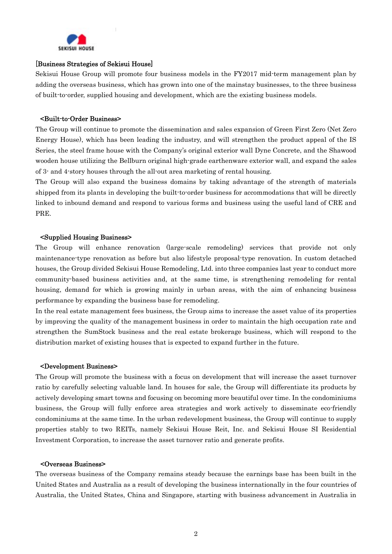

## [Business Strategies of Sekisui House]

Sekisui House Group will promote four business models in the FY2017 mid-term management plan by adding the overseas business, which has grown into one of the mainstay businesses, to the three business of built-to-order, supplied housing and development, which are the existing business models.

### <Built-to-Order Business>

The Group will continue to promote the dissemination and sales expansion of Green First Zero (Net Zero Energy House), which has been leading the industry, and will strengthen the product appeal of the IS Series, the steel frame house with the Company's original exterior wall Dyne Concrete, and the Shawood wooden house utilizing the Bellburn original high-grade earthenware exterior wall, and expand the sales of 3- and 4-story houses through the all-out area marketing of rental housing.

The Group will also expand the business domains by taking advantage of the strength of materials shipped from its plants in developing the built-to-order business for accommodations that will be directly linked to inbound demand and respond to various forms and business using the useful land of CRE and PRE.

#### <Supplied Housing Business>

The Group will enhance renovation (large-scale remodeling) services that provide not only maintenance-type renovation as before but also lifestyle proposal-type renovation. In custom detached houses, the Group divided Sekisui House Remodeling, Ltd. into three companies last year to conduct more community-based business activities and, at the same time, is strengthening remodeling for rental housing, demand for which is growing mainly in urban areas, with the aim of enhancing business performance by expanding the business base for remodeling.

In the real estate management fees business, the Group aims to increase the asset value of its properties by improving the quality of the management business in order to maintain the high occupation rate and strengthen the SumStock business and the real estate brokerage business, which will respond to the distribution market of existing houses that is expected to expand further in the future.

#### <Development Business>

The Group will promote the business with a focus on development that will increase the asset turnover ratio by carefully selecting valuable land. In houses for sale, the Group will differentiate its products by actively developing smart towns and focusing on becoming more beautiful over time. In the condominiums business, the Group will fully enforce area strategies and work actively to disseminate eco-friendly condominiums at the same time. In the urban redevelopment business, the Group will continue to supply properties stably to two REITs, namely Sekisui House Reit, Inc. and Sekisui House SI Residential Investment Corporation, to increase the asset turnover ratio and generate profits.

#### <Overseas Business>

The overseas business of the Company remains steady because the earnings base has been built in the United States and Australia as a result of developing the business internationally in the four countries of Australia, the United States, China and Singapore, starting with business advancement in Australia in